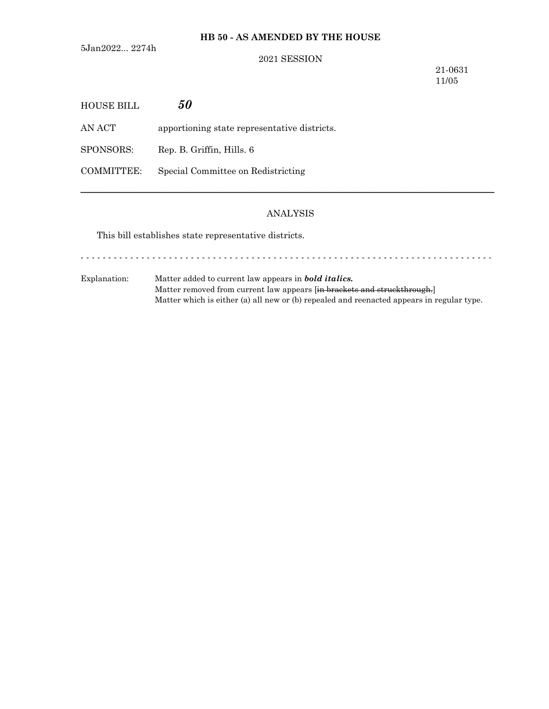## **HB 50 - AS AMENDED BY THE HOUSE**

5Jan2022... 2274h

### 2021 SESSION

21-0631 11/05

| HOUSE BILL        | 50                                           |
|-------------------|----------------------------------------------|
| AN ACT            | apportioning state representative districts. |
| SPONSORS:         | Rep. B. Griffin, Hills. 6                    |
| <b>COMMITTEE:</b> | Special Committee on Redistricting           |

### ANALYSIS

─────────────────────────────────────────────────────────────────

This bill establishes state representative districts.

Explanation: Matter added to current law appears in *bold italics.* Matter removed from current law appears [in brackets and struckthrough.] Matter which is either (a) all new or (b) repealed and reenacted appears in regular type.

- - - - - - - - - - - - - - - - - - - - - - - - - - - - - - - - - - - - - - - - - - - - - - - - - - - - - - - - - - - - - - - - - - - - - - - - - - -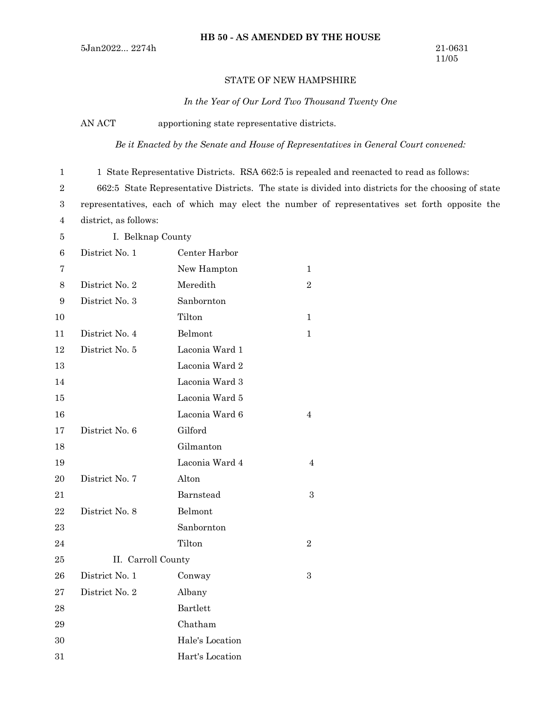### STATE OF NEW HAMPSHIRE

*In the Year of Our Lord Two Thousand Twenty One*

AN ACT apportioning state representative districts.

*Be it Enacted by the Senate and House of Representatives in General Court convened:*

1 State Representative Districts. RSA 662:5 is repealed and reenacted to read as follows:

662:5 State Representative Districts. The state is divided into districts for the choosing of state

representatives, each of which may elect the number of representatives set forth opposite the district, as follows: 3 4

1 2

I. Belknap County 5

| 6  | District No. 1     | Center Harbor   |                |
|----|--------------------|-----------------|----------------|
| 7  |                    | New Hampton     | 1              |
| 8  | District No. 2     | Meredith        | $\overline{2}$ |
| 9  | District No. 3     | Sanbornton      |                |
| 10 |                    | Tilton          | $\mathbf 1$    |
| 11 | District No. 4     | Belmont         | $\mathbf 1$    |
| 12 | District No. 5     | Laconia Ward 1  |                |
| 13 |                    | Laconia Ward 2  |                |
| 14 |                    | Laconia Ward 3  |                |
| 15 |                    | Laconia Ward 5  |                |
| 16 |                    | Laconia Ward 6  | 4              |
| 17 | District No. 6     | Gilford         |                |
| 18 |                    | Gilmanton       |                |
| 19 |                    | Laconia Ward 4  | 4              |
| 20 | District No. 7     | Alton           |                |
| 21 |                    | Barnstead       | 3              |
| 22 | District No. 8     | Belmont         |                |
| 23 |                    | Sanbornton      |                |
| 24 |                    | Tilton          | $\overline{2}$ |
| 25 | II. Carroll County |                 |                |
| 26 | District No. 1     | Conway          | 3              |
| 27 | District No. 2     | Albany          |                |
| 28 |                    | Bartlett        |                |
| 29 |                    | Chatham         |                |
| 30 |                    | Hale's Location |                |
| 31 |                    | Hart's Location |                |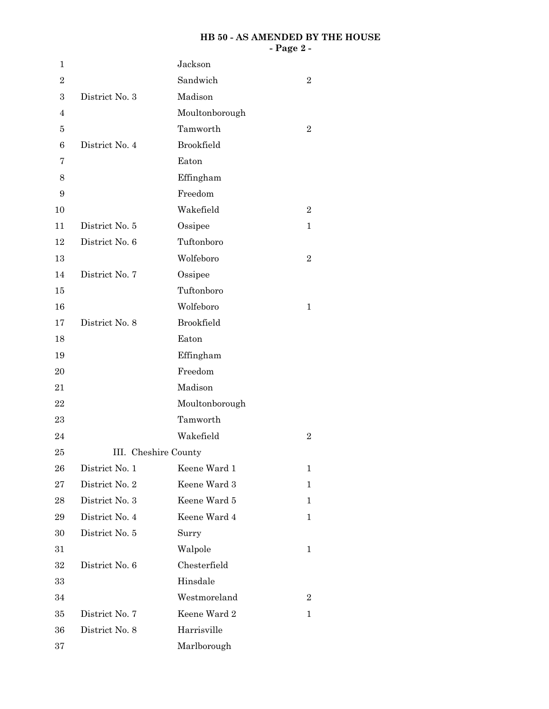#### **HB 50 - AS AMENDED BY THE HOUSE - Page 2 -**

| 1                |                | Jackson              |                |
|------------------|----------------|----------------------|----------------|
| $\overline{2}$   |                | Sandwich             | $\overline{2}$ |
| $\boldsymbol{3}$ | District No. 3 | Madison              |                |
| 4                |                | Moultonborough       |                |
| 5                |                | Tamworth             | $\overline{2}$ |
| 6                | District No. 4 | <b>Brookfield</b>    |                |
| 7                |                | Eaton                |                |
| 8                |                | Effingham            |                |
| 9                |                | Freedom              |                |
| 10               |                | Wakefield            | $\overline{2}$ |
| 11               | District No. 5 | Ossipee              | 1              |
| 12               | District No. 6 | Tuftonboro           |                |
| 13               |                | Wolfeboro            | $\overline{2}$ |
| 14               | District No. 7 | Ossipee              |                |
| 15               |                | Tuftonboro           |                |
| 16               |                | Wolfeboro            | 1              |
| 17               | District No. 8 | <b>Brookfield</b>    |                |
| 18               |                | Eaton                |                |
| 19               |                | Effingham            |                |
| 20               |                | Freedom              |                |
| 21               |                | Madison              |                |
| 22               |                | Moultonborough       |                |
| 23               |                | Tamworth             |                |
| 24               |                | Wakefield            | $\overline{2}$ |
| 25               |                | III. Cheshire County |                |
| 26               | District No. 1 | Keene Ward 1         | 1              |
| $\sqrt{27}$      | District No. 2 | Keene Ward 3         | 1              |
| 28               | District No. 3 | Keene Ward 5         | $\mathbf 1$    |
| 29               | District No. 4 | Keene Ward 4         | 1              |
| 30               | District No. 5 | Surry                |                |
| 31               |                | Walpole              | 1              |
| $32\,$           | District No. 6 | Chesterfield         |                |
| 33               |                | Hinsdale             |                |
| 34               |                | Westmoreland         | $\overline{2}$ |
| 35               | District No. 7 | Keene Ward 2         | 1              |
| 36               | District No. 8 | Harrisville          |                |
| 37               |                | Marlborough          |                |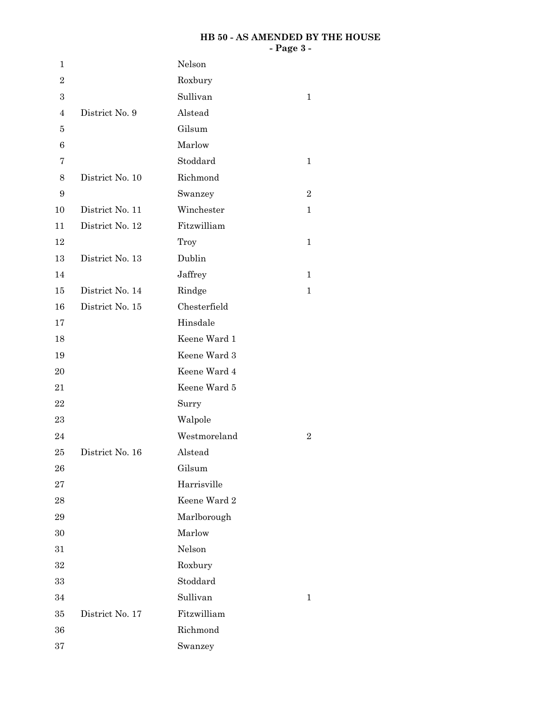### **HB 50 - AS AMENDED BY THE HOUSE - Page 3 -**

| 1                |                 | Nelson       |                  |
|------------------|-----------------|--------------|------------------|
| $\boldsymbol{2}$ |                 | Roxbury      |                  |
| $\boldsymbol{3}$ |                 | Sullivan     | $\mathbf 1$      |
| $\overline{4}$   | District No. 9  | Alstead      |                  |
| 5                |                 | Gilsum       |                  |
| $\,6$            |                 | Marlow       |                  |
| 7                |                 | Stoddard     | $\mathbf 1$      |
| $8\,$            | District No. 10 | Richmond     |                  |
| 9                |                 | Swanzey      | $\boldsymbol{2}$ |
| 10               | District No. 11 | Winchester   | $\mathbf 1$      |
| 11               | District No. 12 | Fitzwilliam  |                  |
| 12               |                 | Troy         | $\mathbf{1}$     |
| 13               | District No. 13 | Dublin       |                  |
| 14               |                 | Jaffrey      | $\mathbf 1$      |
| 15               | District No. 14 | Rindge       | $\mathbf 1$      |
| 16               | District No. 15 | Chesterfield |                  |
| 17               |                 | Hinsdale     |                  |
| 18               |                 | Keene Ward 1 |                  |
| 19               |                 | Keene Ward 3 |                  |
| 20               |                 | Keene Ward 4 |                  |
| 21               |                 | Keene Ward 5 |                  |
| $\bf{22}$        |                 | Surry        |                  |
| 23               |                 | Walpole      |                  |
| 24               |                 | Westmoreland | $\boldsymbol{2}$ |
| 25               | District No. 16 | Alstead      |                  |
| 26               |                 | Gilsum       |                  |
| 27               |                 | Harrisville  |                  |
| 28               |                 | Keene Ward 2 |                  |
| 29               |                 | Marlborough  |                  |
| 30               |                 | Marlow       |                  |
| 31               |                 | Nelson       |                  |
| $32\,$           |                 | Roxbury      |                  |
| 33               |                 | Stoddard     |                  |
| 34               |                 | Sullivan     | 1                |
| 35               | District No. 17 | Fitzwilliam  |                  |
| 36               |                 | Richmond     |                  |
| 37               |                 | Swanzey      |                  |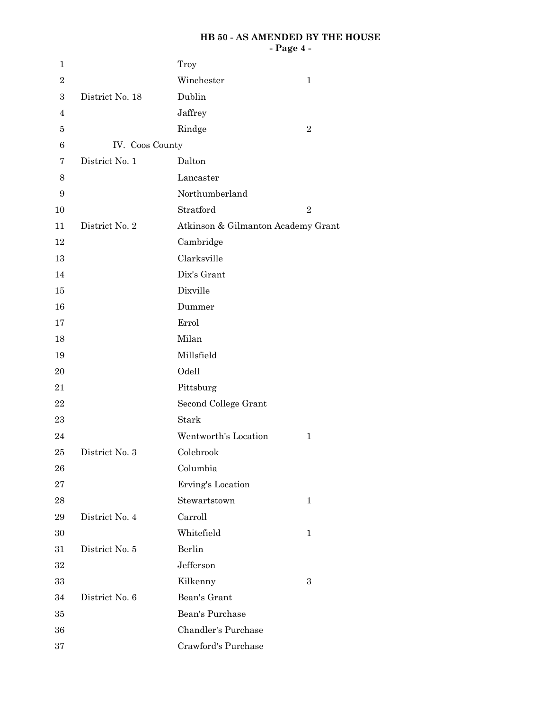#### **HB 50 - AS AMENDED BY THE HOUSE - Page 4 -**

| $\mathbf 1$      |                                   |                                    |                |
|------------------|-----------------------------------|------------------------------------|----------------|
| $\sqrt{2}$       |                                   | Troy<br>Winchester                 | $\mathbf{1}$   |
| $\boldsymbol{3}$ | District No. 18                   | Dublin                             |                |
| 4                |                                   | Jaffrey                            |                |
|                  |                                   |                                    | $\overline{2}$ |
| 5                |                                   | Rindge                             |                |
| $\,6$            | IV. Coos County<br>District No. 1 |                                    |                |
| 7                |                                   | Dalton                             |                |
| 8                |                                   | Lancaster                          |                |
| 9                |                                   | Northumberland                     |                |
| 10               |                                   | Stratford                          | $\overline{2}$ |
| 11               | District No. 2                    | Atkinson & Gilmanton Academy Grant |                |
| 12               |                                   | Cambridge                          |                |
| 13               |                                   | Clarksville                        |                |
| 14               |                                   | Dix's Grant                        |                |
| 15               |                                   | Dixville                           |                |
| 16               |                                   | Dummer                             |                |
| 17               |                                   | Errol                              |                |
| 18               |                                   | Milan                              |                |
| 19               |                                   | Millsfield                         |                |
| 20               |                                   | Odell                              |                |
| 21               |                                   | Pittsburg                          |                |
| 22               |                                   | Second College Grant               |                |
| 23               |                                   | Stark                              |                |
| 24               |                                   | Wentworth's Location               | $\mathbf 1$    |
| 25               | District No. 3                    | Colebrook                          |                |
| 26               |                                   | Columbia                           |                |
| 27               |                                   | Erving's Location                  |                |
| 28               |                                   | Stewartstown                       | $\mathbf{1}$   |
| 29               | District No. 4                    | Carroll                            |                |
| 30               |                                   | Whitefield                         | $\mathbf{1}$   |
| 31               | District No. 5                    | Berlin                             |                |
| 32               |                                   | Jefferson                          |                |
| 33               |                                   | Kilkenny                           | 3              |
| 34               | District No. 6                    | Bean's Grant                       |                |
| $35\,$           |                                   | Bean's Purchase                    |                |
| 36               |                                   | Chandler's Purchase                |                |
| $37\,$           |                                   | Crawford's Purchase                |                |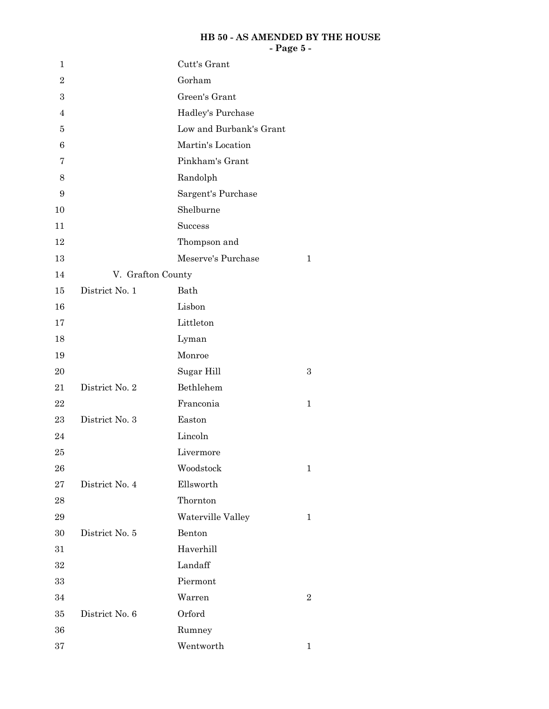### **HB 50 - AS AMENDED BY THE HOUSE - Page 5 -**

| $\mathbf 1$      |                   | Cutt's Grant            |                |
|------------------|-------------------|-------------------------|----------------|
| $\overline{2}$   |                   | Gorham                  |                |
| $\boldsymbol{3}$ |                   | Green's Grant           |                |
| $\overline{4}$   |                   | Hadley's Purchase       |                |
| 5                |                   | Low and Burbank's Grant |                |
| 6                |                   | Martin's Location       |                |
| 7                |                   | Pinkham's Grant         |                |
| 8                |                   | Randolph                |                |
| $\boldsymbol{9}$ |                   | Sargent's Purchase      |                |
| 10               |                   | Shelburne               |                |
| 11               |                   | Success                 |                |
| 12               |                   | Thompson and            |                |
| 13               |                   | Meserve's Purchase      | $\mathbf{1}$   |
| 14               | V. Grafton County |                         |                |
| 15               | District No. 1    | Bath                    |                |
| 16               |                   | Lisbon                  |                |
| 17               |                   | Littleton               |                |
| 18               |                   | Lyman                   |                |
| 19               |                   | Monroe                  |                |
| 20               |                   | Sugar Hill              | 3              |
| 21               | District No. 2    | Bethlehem               |                |
| 22               |                   | Franconia               | 1              |
| 23               | District No. 3    | Easton                  |                |
| 24               |                   | Lincoln                 |                |
| 25               |                   | Livermore               |                |
| 26               |                   | Woodstock               | 1              |
| 27               | District No. 4    | Ellsworth               |                |
| 28               |                   | Thornton                |                |
| 29               |                   | Waterville Valley       | $\mathbf 1$    |
| 30               | District No. 5    | Benton                  |                |
| 31               |                   | Haverhill               |                |
| 32               |                   | Landaff                 |                |
| 33               |                   | Piermont                |                |
| 34               |                   | Warren                  | $\overline{2}$ |
| 35               | District No. 6    | Orford                  |                |
| 36               |                   | Rumney                  |                |
| 37               |                   | Wentworth               | 1              |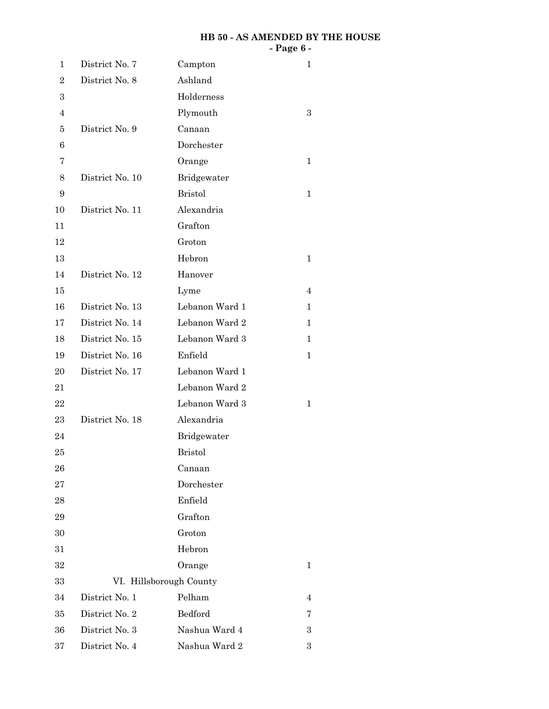#### **HB 50 - AS AMENDED BY THE HOUSE - Page 6 -**

| 1                | District No. 7  | Campton                 | 1            |
|------------------|-----------------|-------------------------|--------------|
| $\overline{2}$   | District No. 8  | Ashland                 |              |
| $\boldsymbol{3}$ |                 | Holderness              |              |
| $\overline{4}$   |                 | Plymouth                | 3            |
| 5                | District No. 9  | Canaan                  |              |
| 6                |                 | Dorchester              |              |
| 7                |                 | Orange                  | 1            |
| 8                | District No. 10 | Bridgewater             |              |
| 9                |                 | <b>Bristol</b>          | 1            |
| 10               | District No. 11 | Alexandria              |              |
| 11               |                 | Grafton                 |              |
| 12               |                 | Groton                  |              |
| 13               |                 | Hebron                  | $\mathbf{1}$ |
| 14               | District No. 12 | Hanover                 |              |
| 15               |                 | Lyme                    | 4            |
| 16               | District No. 13 | Lebanon Ward 1          | 1            |
| 17               | District No. 14 | Lebanon Ward 2          | 1            |
| 18               | District No. 15 | Lebanon Ward 3          | 1            |
| 19               | District No. 16 | Enfield                 | 1            |
| 20               | District No. 17 | Lebanon Ward 1          |              |
| 21               |                 | Lebanon Ward 2          |              |
| 22               |                 | Lebanon Ward 3          | 1            |
| 23               | District No. 18 | Alexandria              |              |
| 24               |                 | Bridgewater             |              |
| 25               |                 | <b>Bristol</b>          |              |
| 26               |                 | Canaan                  |              |
| 27               |                 | Dorchester              |              |
| 28               |                 | Enfield                 |              |
| 29               |                 | Grafton                 |              |
| 30               |                 | Groton                  |              |
| 31               |                 | Hebron                  |              |
| 32               |                 | Orange                  | 1            |
| 33               |                 | VI. Hillsborough County |              |
| 34               | District No. 1  | Pelham                  | 4            |
| 35               | District No. 2  | Bedford                 | 7            |
| 36               | District No. 3  | Nashua Ward 4           | 3            |
| 37               | District No. 4  | Nashua Ward 2           | 3            |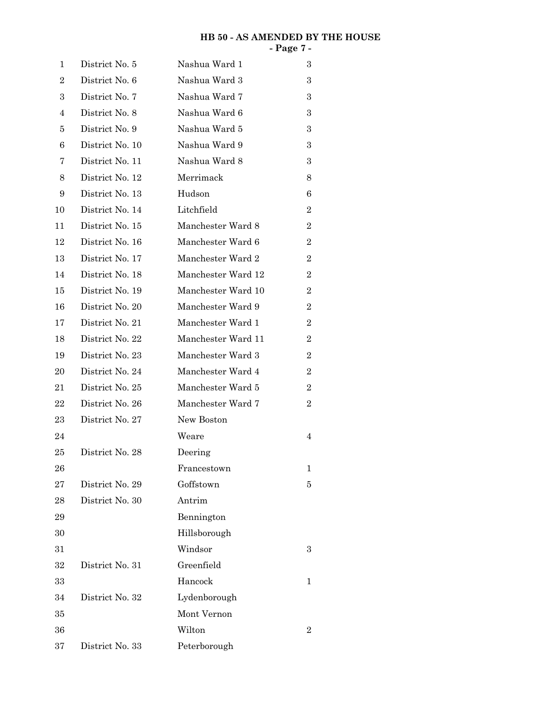#### **HB 50 - AS AMENDED BY THE HOUSE - Page 7 -**

| 1              | District No. 5  | Nashua Ward 1      | 3                |
|----------------|-----------------|--------------------|------------------|
| $\overline{2}$ | District No. 6  | Nashua Ward 3      | 3                |
| 3              | District No. 7  | Nashua Ward 7      | 3                |
| 4              | District No. 8  | Nashua Ward 6      | 3                |
| 5              | District No. 9  | Nashua Ward 5      | 3                |
| 6              | District No. 10 | Nashua Ward 9      | 3                |
| 7              | District No. 11 | Nashua Ward 8      | 3                |
| 8              | District No. 12 | Merrimack          | 8                |
| 9              | District No. 13 | Hudson             | 6                |
| 10             | District No. 14 | Litchfield         | $\overline{2}$   |
| 11             | District No. 15 | Manchester Ward 8  | $\overline{2}$   |
| 12             | District No. 16 | Manchester Ward 6  | $\overline{2}$   |
| 13             | District No. 17 | Manchester Ward 2  | $\overline{2}$   |
| 14             | District No. 18 | Manchester Ward 12 | $\overline{2}$   |
| 15             | District No. 19 | Manchester Ward 10 | $\overline{2}$   |
| 16             | District No. 20 | Manchester Ward 9  | $\overline{2}$   |
| 17             | District No. 21 | Manchester Ward 1  | $\overline{2}$   |
| 18             | District No. 22 | Manchester Ward 11 | $\boldsymbol{2}$ |
| 19             | District No. 23 | Manchester Ward 3  | $\overline{2}$   |
| 20             | District No. 24 | Manchester Ward 4  | $\overline{2}$   |
| 21             | District No. 25 | Manchester Ward 5  | $\boldsymbol{2}$ |
| 22             | District No. 26 | Manchester Ward 7  | $\overline{2}$   |
| 23             | District No. 27 | New Boston         |                  |
| 24             |                 | Weare              | 4                |
| 25             | District No. 28 | Deering            |                  |
| 26             |                 | Francestown        | 1                |
| 27             | District No. 29 | Goffstown          | 5                |
| 28             | District No. 30 | Antrim             |                  |
| 29             |                 | Bennington         |                  |
| 30             |                 | Hillsborough       |                  |
| 31             |                 | Windsor            | 3                |
| 32             | District No. 31 | Greenfield         |                  |
| 33             |                 | Hancock            | 1                |
| 34             | District No. 32 | Lydenborough       |                  |
| 35             |                 | Mont Vernon        |                  |
| 36             |                 | Wilton             | $\overline{2}$   |
| 37             | District No. 33 | Peterborough       |                  |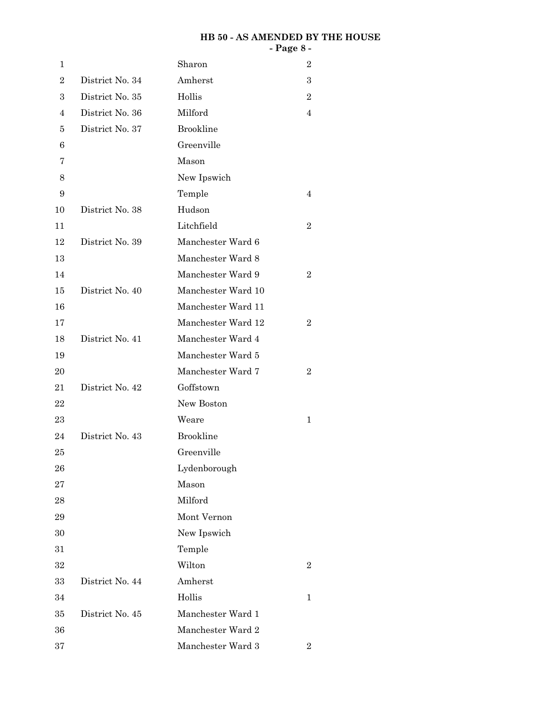#### **HB 50 - AS AMENDED BY THE HOUSE - Page 8 -**

| 1              |                 | Sharon             | $\overline{2}$ |
|----------------|-----------------|--------------------|----------------|
| $\overline{2}$ | District No. 34 | Amherst            | 3              |
| 3              | District No. 35 | Hollis             | $\overline{2}$ |
| 4              | District No. 36 | Milford            | 4              |
| 5              | District No. 37 | <b>Brookline</b>   |                |
| 6              |                 | Greenville         |                |
| 7              |                 | Mason              |                |
| $8\,$          |                 | New Ipswich        |                |
| 9              |                 | Temple             | 4              |
| 10             | District No. 38 | Hudson             |                |
| 11             |                 | Litchfield         | $\overline{2}$ |
| 12             | District No. 39 | Manchester Ward 6  |                |
| 13             |                 | Manchester Ward 8  |                |
| 14             |                 | Manchester Ward 9  | $\overline{2}$ |
| 15             | District No. 40 | Manchester Ward 10 |                |
| 16             |                 | Manchester Ward 11 |                |
| 17             |                 | Manchester Ward 12 | $\overline{2}$ |
| 18             | District No. 41 | Manchester Ward 4  |                |
| 19             |                 | Manchester Ward 5  |                |
| 20             |                 | Manchester Ward 7  | $\overline{2}$ |
| 21             | District No. 42 | Goffstown          |                |
| 22             |                 | New Boston         |                |
| 23             |                 | Weare              | $\mathbf{1}$   |
| 24             | District No. 43 | <b>Brookline</b>   |                |
| 25             |                 | Greenville         |                |
| 26             |                 | Lydenborough       |                |
| 27             |                 | Mason              |                |
| 28             |                 | Milford            |                |
| 29             |                 | Mont Vernon        |                |
| 30             |                 | New Ipswich        |                |
| 31             |                 | Temple             |                |
| 32             |                 | Wilton             | $\overline{2}$ |
| 33             | District No. 44 | Amherst            |                |
| 34             |                 | Hollis             | $\mathbf 1$    |
| 35             | District No. 45 | Manchester Ward 1  |                |
| 36             |                 | Manchester Ward 2  |                |
| 37             |                 | Manchester Ward 3  | $\overline{2}$ |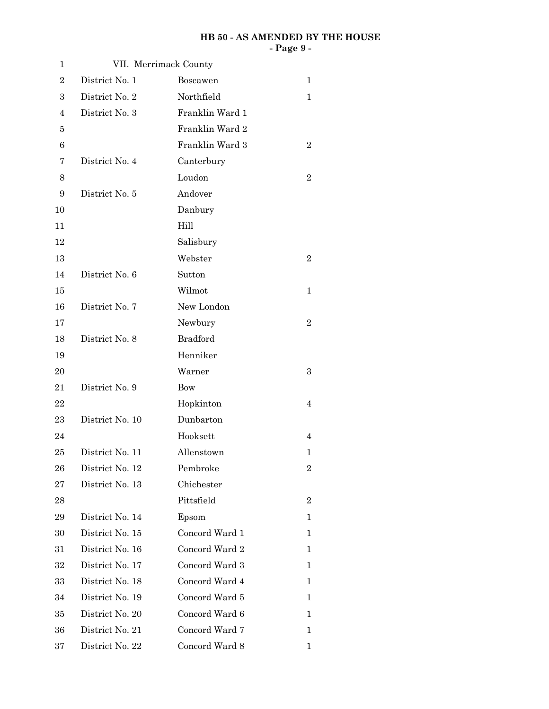#### **HB 50 - AS AMENDED BY THE HOUSE - Page 9 -**

| 1                |                 | VII. Merrimack County |                  |
|------------------|-----------------|-----------------------|------------------|
| $\overline{2}$   | District No. 1  | Boscawen              | 1                |
| $\boldsymbol{3}$ | District No. 2  | Northfield            | 1                |
| 4                | District No. 3  | Franklin Ward 1       |                  |
| 5                |                 | Franklin Ward 2       |                  |
| 6                |                 | Franklin Ward 3       | $\overline{2}$   |
| 7                | District No. 4  | Canterbury            |                  |
| 8                |                 | Loudon                | $\overline{2}$   |
| 9                | District No. 5  | Andover               |                  |
| 10               |                 | Danbury               |                  |
| 11               |                 | Hill                  |                  |
| 12               |                 | Salisbury             |                  |
| 13               |                 | Webster               | $\overline{2}$   |
| 14               | District No. 6  | Sutton                |                  |
| 15               |                 | Wilmot                | $\mathbf 1$      |
| 16               | District No. 7  | New London            |                  |
| 17               |                 | Newbury               | $\overline{2}$   |
| 18               | District No. 8  | <b>Bradford</b>       |                  |
| 19               |                 | Henniker              |                  |
| 20               |                 | Warner                | 3                |
| 21               | District No. 9  | Bow                   |                  |
| $22\,$           |                 | Hopkinton             | $\overline{4}$   |
| $\bf 23$         | District No. 10 | Dunbarton             |                  |
| 24               |                 | Hooksett              | 4                |
| 25               | District No. 11 | Allenstown            | 1                |
| 26               | District No. 12 | Pembroke              | $\boldsymbol{2}$ |
| 27               | District No. 13 | Chichester            |                  |
| 28               |                 | Pittsfield            | $\overline{2}$   |
| 29               | District No. 14 | Epsom                 | 1                |
| 30               | District No. 15 | Concord Ward 1        | 1                |
| 31               | District No. 16 | Concord Ward 2        | 1                |
| 32               | District No. 17 | Concord Ward 3        | 1                |
| 33               | District No. 18 | Concord Ward 4        | 1                |
| 34               | District No. 19 | Concord Ward 5        | 1                |
| 35               | District No. 20 | Concord Ward 6        | 1                |
| 36               | District No. 21 | Concord Ward 7        | 1                |
| 37               | District No. 22 | Concord Ward 8        | 1                |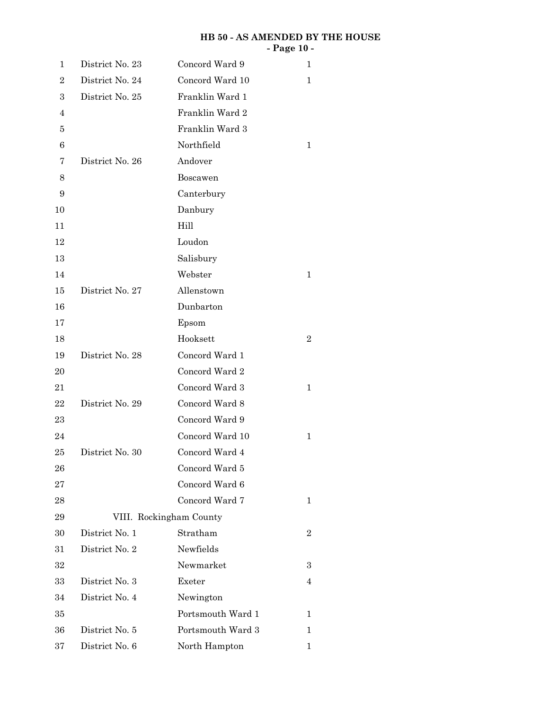# **HB 50 - AS AMENDED BY THE HOUSE - Page 10 -**

| 1              | District No. 23 | Concord Ward 9          | 1              |
|----------------|-----------------|-------------------------|----------------|
| $\overline{2}$ | District No. 24 | Concord Ward 10         | 1              |
| 3              | District No. 25 | Franklin Ward 1         |                |
| 4              |                 | Franklin Ward 2         |                |
| 5              |                 | Franklin Ward 3         |                |
| $\,6$          |                 | Northfield              | 1              |
| 7              | District No. 26 | Andover                 |                |
| 8              |                 | Boscawen                |                |
| 9              |                 | Canterbury              |                |
| 10             |                 | Danbury                 |                |
| 11             |                 | Hill                    |                |
| 12             |                 | Loudon                  |                |
| 13             |                 | Salisbury               |                |
| 14             |                 | Webster                 | $\mathbf{1}$   |
| 15             | District No. 27 | Allenstown              |                |
| 16             |                 | Dunbarton               |                |
| 17             |                 | Epsom                   |                |
| 18             |                 | Hooksett                | $\sqrt{2}$     |
| 19             | District No. 28 | Concord Ward 1          |                |
| 20             |                 | Concord Ward 2          |                |
| 21             |                 | Concord Ward 3          | 1              |
| 22             | District No. 29 | Concord Ward 8          |                |
| 23             |                 | Concord Ward 9          |                |
| 24             |                 | Concord Ward 10         | $\mathbf{1}$   |
| 25             | District No. 30 | Concord Ward 4          |                |
| 26             |                 | Concord Ward 5          |                |
| 27             |                 | Concord Ward 6          |                |
| 28             |                 | Concord Ward 7          | 1              |
| 29             |                 | VIII. Rockingham County |                |
| 30             | District No. 1  | Stratham                | $\overline{2}$ |
| 31             | District No. 2  | Newfields               |                |
| 32             |                 | Newmarket               | 3              |
| 33             | District No. 3  | Exeter                  | 4              |
| 34             | District No. 4  | Newington               |                |
| 35             |                 | Portsmouth Ward 1       | 1              |
| 36             | District No. 5  | Portsmouth Ward 3       | $\mathbf 1$    |
| 37             | District No. 6  | North Hampton           | 1              |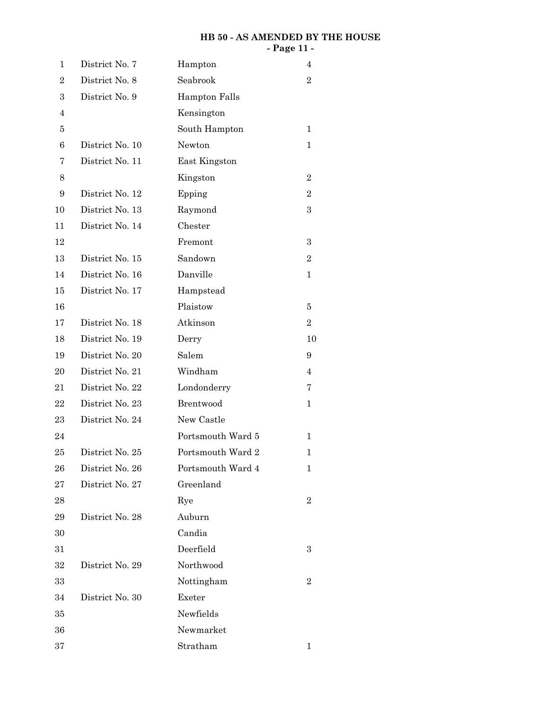# **HB 50 - AS AMENDED BY THE HOUSE - Page 11 -**

| 1                | District No. 7  | Hampton              | 4                |
|------------------|-----------------|----------------------|------------------|
| $\boldsymbol{2}$ | District No. 8  | Seabrook             | $\overline{2}$   |
| 3                | District No. 9  | <b>Hampton Falls</b> |                  |
| 4                |                 | Kensington           |                  |
| 5                |                 | South Hampton        | 1                |
| 6                | District No. 10 | Newton               | 1                |
| 7                | District No. 11 | East Kingston        |                  |
| 8                |                 | Kingston             | $\boldsymbol{2}$ |
| 9                | District No. 12 | Epping               | $\overline{2}$   |
| 10               | District No. 13 | Raymond              | $\boldsymbol{3}$ |
| 11               | District No. 14 | Chester              |                  |
| 12               |                 | Fremont              | $\boldsymbol{3}$ |
| 13               | District No. 15 | Sandown              | $\overline{2}$   |
| 14               | District No. 16 | Danville             | 1                |
| 15               | District No. 17 | Hampstead            |                  |
| 16               |                 | Plaistow             | 5                |
| 17               | District No. 18 | Atkinson             | $\overline{2}$   |
| 18               | District No. 19 | Derry                | 10               |
| 19               | District No. 20 | Salem                | 9                |
| 20               | District No. 21 | Windham              | 4                |
| 21               | District No. 22 | Londonderry          | 7                |
| 22               | District No. 23 | Brentwood            | 1                |
| 23               | District No. 24 | New Castle           |                  |
| 24               |                 | Portsmouth Ward 5    | 1                |
| 25               | District No. 25 | Portsmouth Ward 2    | 1                |
| 26               | District No. 26 | Portsmouth Ward 4    | 1                |
| 27               | District No. 27 | Greenland            |                  |
| 28               |                 | Rye                  | $\overline{2}$   |
| 29               | District No. 28 | Auburn               |                  |
| 30               |                 | Candia               |                  |
| 31               |                 | Deerfield            | 3                |
| 32               | District No. 29 | Northwood            |                  |
| 33               |                 | Nottingham           | $\overline{2}$   |
| 34               | District No. 30 | Exeter               |                  |
| $35\,$           |                 | Newfields            |                  |
| 36               |                 | Newmarket            |                  |
| 37               |                 | Stratham             | 1                |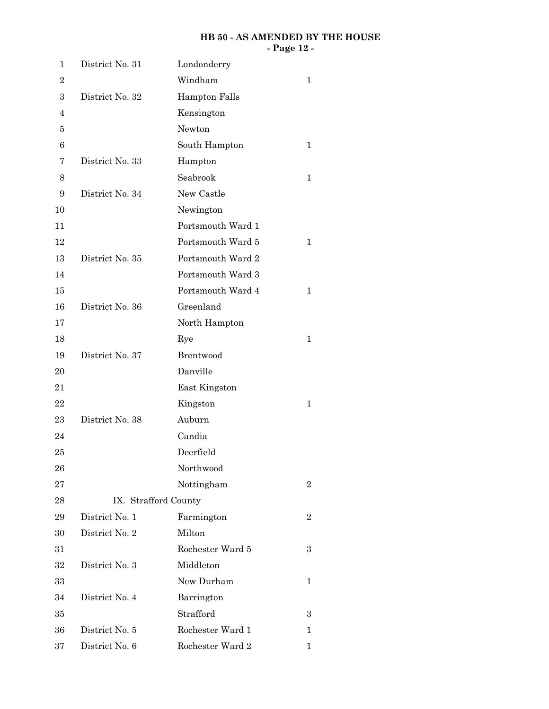# **HB 50 - AS AMENDED BY THE HOUSE - Page 12 -**

| 1                | District No. 31      | Londonderry          |   |
|------------------|----------------------|----------------------|---|
| $\boldsymbol{2}$ |                      | Windham              | 1 |
| 3                | District No. 32      | <b>Hampton Falls</b> |   |
| 4                |                      | Kensington           |   |
| 5                |                      | Newton               |   |
| $\,6$            |                      | South Hampton        | 1 |
| 7                | District No. 33      | Hampton              |   |
| 8                |                      | Seabrook             | 1 |
| 9                | District No. 34      | New Castle           |   |
| 10               |                      | Newington            |   |
| 11               |                      | Portsmouth Ward 1    |   |
| 12               |                      | Portsmouth Ward 5    | 1 |
| 13               | District No. 35      | Portsmouth Ward 2    |   |
| 14               |                      | Portsmouth Ward 3    |   |
| 15               |                      | Portsmouth Ward 4    | 1 |
| 16               | District No. 36      | Greenland            |   |
| 17               |                      | North Hampton        |   |
| 18               |                      | Rye                  | 1 |
| 19               | District No. 37      | Brentwood            |   |
| 20               |                      | Danville             |   |
| 21               |                      | East Kingston        |   |
| 22               |                      | Kingston             | 1 |
| 23               | District No. 38      | Auburn               |   |
| 24               |                      | Candia               |   |
| 25               |                      | Deerfield            |   |
| 26               |                      | Northwood            |   |
| 27               |                      | Nottingham           | 2 |
| 28               | IX. Strafford County |                      |   |
| 29               | District No. 1       | Farmington           | 2 |
| 30               | District No. 2       | Milton               |   |
| $31\,$           |                      | Rochester Ward 5     | 3 |
| 32               | District No. 3       | Middleton            |   |
| 33               |                      | New Durham           | 1 |
| 34               | District No. 4       | Barrington           |   |
| 35               |                      | Strafford            | 3 |
| 36               | District No. 5       | Rochester Ward 1     | 1 |
| 37               | District No. 6       | Rochester Ward 2     | 1 |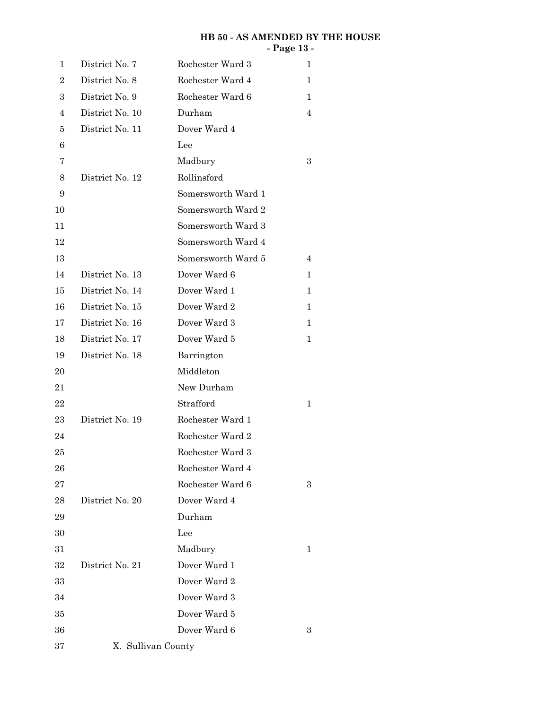# **HB 50 - AS AMENDED BY THE HOUSE - Page 13 -**

| 1                | District No. 7     | Rochester Ward 3   | 1 |
|------------------|--------------------|--------------------|---|
| $\boldsymbol{2}$ | District No. 8     | Rochester Ward 4   | 1 |
| 3                | District No. 9     | Rochester Ward 6   | 1 |
| 4                | District No. 10    | Durham             | 4 |
| 5                | District No. 11    | Dover Ward 4       |   |
| 6                |                    | Lee                |   |
| 7                |                    | Madbury            | 3 |
| 8                | District No. 12    | Rollinsford        |   |
| 9                |                    | Somersworth Ward 1 |   |
| 10               |                    | Somersworth Ward 2 |   |
| 11               |                    | Somersworth Ward 3 |   |
| 12               |                    | Somersworth Ward 4 |   |
| 13               |                    | Somersworth Ward 5 | 4 |
| 14               | District No. 13    | Dover Ward 6       | 1 |
| 15               | District No. 14    | Dover Ward 1       | 1 |
| 16               | District No. 15    | Dover Ward 2       | 1 |
| 17               | District No. 16    | Dover Ward 3       | 1 |
| 18               | District No. 17    | Dover Ward 5       | 1 |
| 19               | District No. 18    | Barrington         |   |
| 20               |                    | Middleton          |   |
| 21               |                    | New Durham         |   |
| 22               |                    | Strafford          | 1 |
| 23               | District No. 19    | Rochester Ward 1   |   |
| 24               |                    | Rochester Ward 2   |   |
| 25               |                    | Rochester Ward 3   |   |
| 26               |                    | Rochester Ward 4   |   |
| 27               |                    | Rochester Ward 6   | 3 |
| ${\bf 28}$       | District No. 20    | Dover Ward 4       |   |
| 29               |                    | Durham             |   |
| 30               |                    | Lee                |   |
| 31               |                    | Madbury            | 1 |
| 32               | District No. 21    | Dover Ward 1       |   |
| 33               |                    | Dover Ward 2       |   |
| 34               |                    | Dover Ward 3       |   |
| 35               |                    | Dover Ward 5       |   |
| 36               |                    | Dover Ward 6       | 3 |
| 37               | X. Sullivan County |                    |   |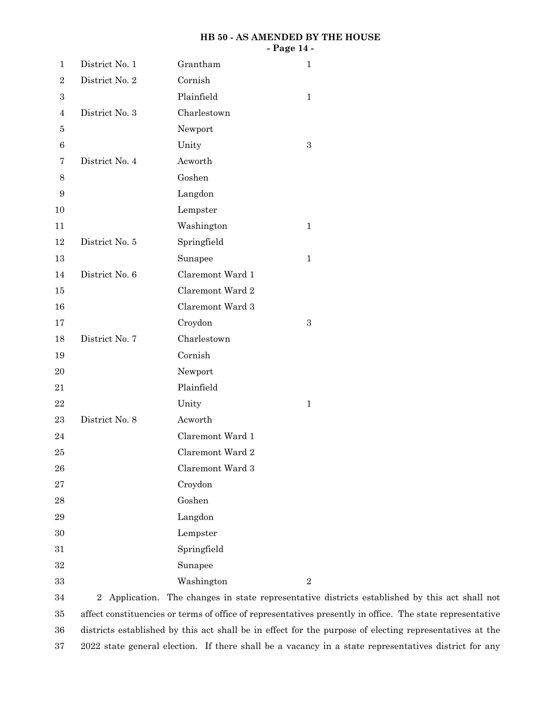### **HB 50 - AS AMENDED BY THE HOUSE - Page 14 -**

| $\mathbf{1}$     | District No. 1 | Grantham         | $\mathbf{1}$     |
|------------------|----------------|------------------|------------------|
| $\boldsymbol{2}$ | District No. 2 | Cornish          |                  |
| $\boldsymbol{3}$ |                | Plainfield       | $\mathbf{1}$     |
| $\overline{4}$   | District No. 3 | Charlestown      |                  |
| 5                |                | Newport          |                  |
| 6                |                | Unity            | $\boldsymbol{3}$ |
| 7                | District No. 4 | Acworth          |                  |
| 8                |                | Goshen           |                  |
| 9                |                | Langdon          |                  |
| 10               |                | Lempster         |                  |
| 11               |                | Washington       | $\mathbf{1}$     |
| 12               | District No. 5 | Springfield      |                  |
| 13               |                | Sunapee          | $\mathbf{1}$     |
| 14               | District No. 6 | Claremont Ward 1 |                  |
| 15               |                | Claremont Ward 2 |                  |
| 16               |                | Claremont Ward 3 |                  |
| 17               |                | Croydon          | $\boldsymbol{3}$ |
| 18               | District No. 7 | Charlestown      |                  |
| 19               |                | Cornish          |                  |
| 20               |                | Newport          |                  |
| 21               |                | Plainfield       |                  |
| 22               |                | Unity            | $\mathbf{1}$     |
| 23               | District No. 8 | Acworth          |                  |
| 24               |                | Claremont Ward 1 |                  |
| 25               |                | Claremont Ward 2 |                  |
| 26               |                | Claremont Ward 3 |                  |
| 27               |                | Croydon          |                  |
| 28               |                | Goshen           |                  |
| 29               |                | Langdon          |                  |
| 30               |                | Lempster         |                  |
| 31               |                | Springfield      |                  |
| 32               |                | Sunapee          |                  |
| 33               |                | Washington       | $\sqrt{2}$       |

2 Application. The changes in state representative districts established by this act shall not affect constituencies or terms of office of representatives presently in office. The state representative districts established by this act shall be in effect for the purpose of electing representatives at the 2022 state general election. If there shall be a vacancy in a state representatives district for any 34 35 36 37